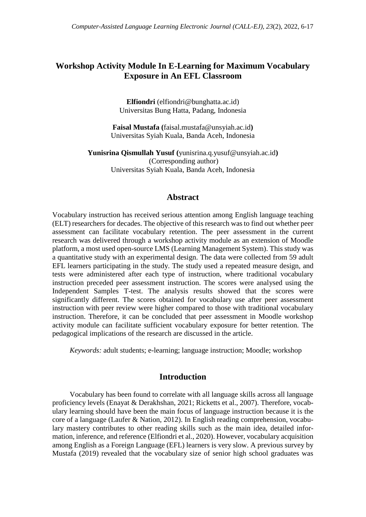# **Workshop Activity Module In E-Learning for Maximum Vocabulary Exposure in An EFL Classroom**

**Elfiondri** (elfiondri@bunghatta.ac.id) Universitas Bung Hatta, Padang, Indonesia

**Faisal Mustafa (**faisal.mustafa@unsyiah.ac.id**)** Universitas Syiah Kuala, Banda Aceh, Indonesia

**Yunisrina Qismullah Yusuf (**yunisrina.q.yusuf@unsyiah.ac.id**)** (Corresponding author) Universitas Syiah Kuala, Banda Aceh, Indonesia

### **Abstract**

Vocabulary instruction has received serious attention among English language teaching (ELT) researchers for decades. The objective of this research was to find out whether peer assessment can facilitate vocabulary retention. The peer assessment in the current research was delivered through a workshop activity module as an extension of Moodle platform, a most used open-source LMS (Learning Management System). This study was a quantitative study with an experimental design. The data were collected from 59 adult EFL learners participating in the study. The study used a repeated measure design, and tests were administered after each type of instruction, where traditional vocabulary instruction preceded peer assessment instruction. The scores were analysed using the Independent Samples T-test. The analysis results showed that the scores were significantly different. The scores obtained for vocabulary use after peer assessment instruction with peer review were higher compared to those with traditional vocabulary instruction. Therefore, it can be concluded that peer assessment in Moodle workshop activity module can facilitate sufficient vocabulary exposure for better retention. The pedagogical implications of the research are discussed in the article.

*Keywords:* adult students; e-learning; language instruction; Moodle; workshop

## **Introduction**

Vocabulary has been found to correlate with all language skills across all language proficiency levels (Enayat & Derakhshan, 2021; Ricketts et al., 2007). Therefore, vocabulary learning should have been the main focus of language instruction because it is the core of a language (Laufer & Nation, 2012). In English reading comprehension, vocabulary mastery contributes to other reading skills such as the main idea, detailed information, inference, and reference (Elfiondri et al., 2020). However, vocabulary acquisition among English as a Foreign Language (EFL) learners is very slow. A previous survey by Mustafa (2019) revealed that the vocabulary size of senior high school graduates was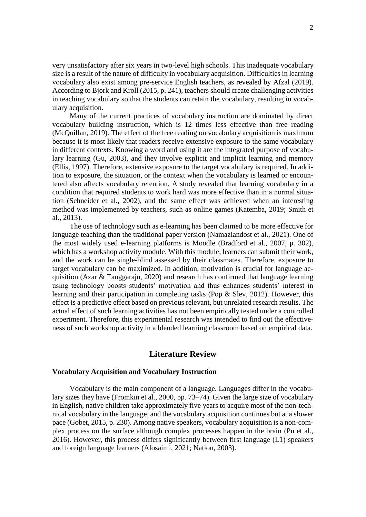very unsatisfactory after six years in two-level high schools. This inadequate vocabulary size is a result of the nature of difficulty in vocabulary acquisition. Difficulties in learning vocabulary also exist among pre-service English teachers, as revealed by Afzal (2019). According to Bjork and Kroll (2015, p. 241), teachers should create challenging activities in teaching vocabulary so that the students can retain the vocabulary, resulting in vocabulary acquisition.

Many of the current practices of vocabulary instruction are dominated by direct vocabulary building instruction, which is 12 times less effective than free reading (McQuillan, 2019). The effect of the free reading on vocabulary acquisition is maximum because it is most likely that readers receive extensive exposure to the same vocabulary in different contexts. Knowing a word and using it are the integrated purpose of vocabulary learning (Gu, 2003), and they involve explicit and implicit learning and memory (Ellis, 1997). Therefore, extensive exposure to the target vocabulary is required. In addition to exposure, the situation, or the context when the vocabulary is learned or encountered also affects vocabulary retention. A study revealed that learning vocabulary in a condition that required students to work hard was more effective than in a normal situation (Schneider et al., 2002), and the same effect was achieved when an interesting method was implemented by teachers, such as online games (Katemba, 2019; Smith et al., 2013).

The use of technology such as e-learning has been claimed to be more effective for language teaching than the traditional paper version (Namaziandost et al., 2021). One of the most widely used e-learning platforms is Moodle (Bradford et al., 2007, p. 302), which has a workshop activity module. With this module, learners can submit their work, and the work can be single-blind assessed by their classmates. Therefore, exposure to target vocabulary can be maximized. In addition, motivation is crucial for language acquisition (Azar & Tanggaraju, 2020) and research has confirmed that language learning using technology boosts students' motivation and thus enhances students' interest in learning and their participation in completing tasks (Pop & Slev, 2012). However, this effect is a predictive effect based on previous relevant, but unrelated research results. The actual effect of such learning activities has not been empirically tested under a controlled experiment. Therefore, this experimental research was intended to find out the effectiveness of such workshop activity in a blended learning classroom based on empirical data.

## **Literature Review**

#### **Vocabulary Acquisition and Vocabulary Instruction**

Vocabulary is the main component of a language. Languages differ in the vocabulary sizes they have (Fromkin et al., 2000, pp. 73–74). Given the large size of vocabulary in English, native children take approximately five years to acquire most of the non-technical vocabulary in the language, and the vocabulary acquisition continues but at a slower pace (Gobet, 2015, p. 230). Among native speakers, vocabulary acquisition is a non-complex process on the surface although complex processes happen in the brain (Pu et al., 2016). However, this process differs significantly between first language (L1) speakers and foreign language learners (Alosaimi, 2021; Nation, 2003).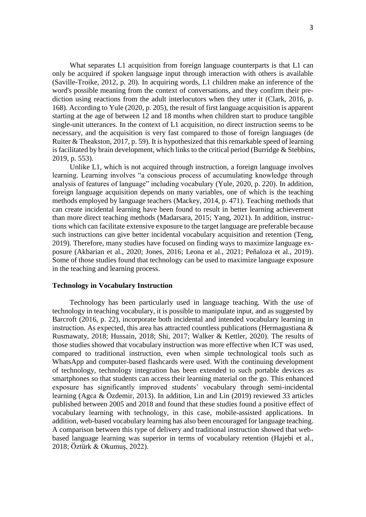What separates L1 acquisition from foreign language counterparts is that L1 can only be acquired if spoken language input through interaction with others is available (Saville-Troike, 2012, p. 20). In acquiring words, L1 children make an inference of the word's possible meaning from the context of conversations, and they confirm their prediction using reactions from the adult interlocutors when they utter it (Clark, 2016, p. 168). According to Yule (2020, p. 205), the result of first language acquisition is apparent starting at the age of between 12 and 18 months when children start to produce tangible single-unit utterances. In the context of L1 acquisition, no direct instruction seems to be necessary, and the acquisition is very fast compared to those of foreign languages (de Ruiter & Theakston, 2017, p. 59). It is hypothesized that this remarkable speed of learning is facilitated by brain development, which links to the critical period (Burridge  $\&$  Stebbins, 2019, p. 553).

Unlike L1, which is not acquired through instruction, a foreign language involves learning. Learning involves "a conscious process of accumulating knowledge through analysis of features of language" including vocabulary (Yule, 2020, p. 220). In addition, foreign language acquisition depends on many variables, one of which is the teaching methods employed by language teachers (Mackey, 2014, p. 471). Teaching methods that can create incidental learning have been found to result in better learning achievement than more direct teaching methods (Madarsara, 2015; Yang, 2021). In addition, instructions which can facilitate extensive exposure to the target language are preferable because such instructions can give better incidental vocabulary acquisition and retention (Teng, 2019). Therefore, many studies have focused on finding ways to maximize language exposure (Akbarian et al., 2020; Jones, 2016; Leona et al., 2021; Peñaloza et al., 2019). Some of those studies found that technology can be used to maximize language exposure in the teaching and learning process.

#### **Technology in Vocabulary Instruction**

Technology has been particularly used in language teaching. With the use of technology in teaching vocabulary, it is possible to manipulate input, and as suggested by Barcroft (2016, p. 22), incorporate both incidental and intended vocabulary learning in instruction. As expected, this area has attracted countless publications (Hermagustiana & Rusmawaty, 2018; Hussain, 2018; Shi, 2017; Walker & Kettler, 2020). The results of those studies showed that vocabulary instruction was more effective when ICT was used, compared to traditional instruction, even when simple technological tools such as WhatsApp and computer-based flashcards were used. With the continuing development of technology, technology integration has been extended to such portable devices as smartphones so that students can access their learning material on the go. This enhanced exposure has significantly improved students' vocabulary through semi-incidental learning (Agca & Özdemir, 2013). In addition, Lin and Lin (2019) reviewed 33 articles published between 2005 and 2018 and found that these studies found a positive effect of vocabulary learning with technology, in this case, mobile-assisted applications. In addition, web-based vocabulary learning has also been encouraged for language teaching. A comparison between this type of delivery and traditional instruction showed that webbased language learning was superior in terms of vocabulary retention (Hajebi et al., 2018; Öztürk & Okumuş, 2022).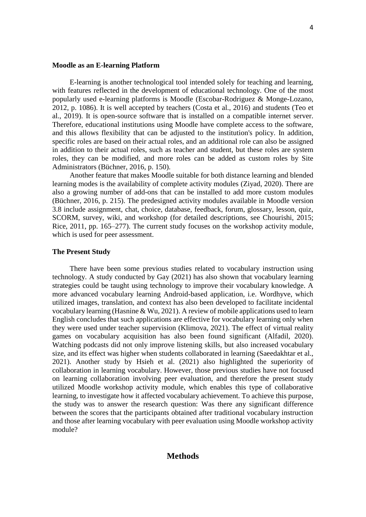#### **Moodle as an E-learning Platform**

E-learning is another technological tool intended solely for teaching and learning, with features reflected in the development of educational technology. One of the most popularly used e-learning platforms is Moodle (Escobar-Rodriguez & Monge-Lozano, 2012, p. 1086). It is well accepted by teachers (Costa et al., 2016) and students (Teo et al., 2019). It is open-source software that is installed on a compatible internet server. Therefore, educational institutions using Moodle have complete access to the software, and this allows flexibility that can be adjusted to the institution's policy. In addition, specific roles are based on their actual roles, and an additional role can also be assigned in addition to their actual roles, such as teacher and student, but these roles are system roles, they can be modified, and more roles can be added as custom roles by Site Administrators (Büchner, 2016, p. 150).

Another feature that makes Moodle suitable for both distance learning and blended learning modes is the availability of complete activity modules (Ziyad, 2020). There are also a growing number of add-ons that can be installed to add more custom modules (Büchner, 2016, p. 215). The predesigned activity modules available in Moodle version 3.8 include assignment, chat, choice, database, feedback, forum, glossary, lesson, quiz, SCORM, survey, wiki, and workshop (for detailed descriptions, see Chourishi, 2015; Rice, 2011, pp. 165–277). The current study focuses on the workshop activity module, which is used for peer assessment.

### **The Present Study**

There have been some previous studies related to vocabulary instruction using technology. A study conducted by Gay (2021) has also shown that vocabulary learning strategies could be taught using technology to improve their vocabulary knowledge. A more advanced vocabulary learning Android-based application, i.e. Wordhyve, which utilized images, translation, and context has also been developed to facilitate incidental vocabulary learning (Hasnine & Wu, 2021). A review of mobile applications used to learn English concludes that such applications are effective for vocabulary learning only when they were used under teacher supervision (Klimova, 2021). The effect of virtual reality games on vocabulary acquisition has also been found significant (Alfadil, 2020). Watching podcasts did not only improve listening skills, but also increased vocabulary size, and its effect was higher when students collaborated in learning (Saeedakhtar et al., 2021). Another study by Hsieh et al. (2021) also highlighted the superiority of collaboration in learning vocabulary. However, those previous studies have not focused on learning collaboration involving peer evaluation, and therefore the present study utilized Moodle workshop activity module, which enables this type of collaborative learning, to investigate how it affected vocabulary achievement. To achieve this purpose, the study was to answer the research question: Was there any significant difference between the scores that the participants obtained after traditional vocabulary instruction and those after learning vocabulary with peer evaluation using Moodle workshop activity module?

## **Methods**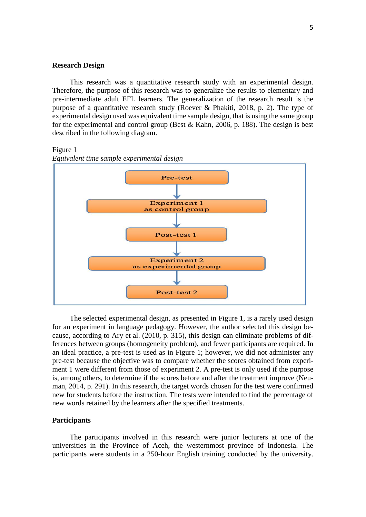### **Research Design**

This research was a quantitative research study with an experimental design. Therefore, the purpose of this research was to generalize the results to elementary and pre-intermediate adult EFL learners. The generalization of the research result is the purpose of a quantitative research study (Roever & Phakiti, 2018, p. 2). The type of experimental design used was equivalent time sample design, that is using the same group for the experimental and control group (Best & Kahn, 2006, p. 188). The design is best described in the following diagram.

#### Figure 1





The selected experimental design, as presented in Figure 1, is a rarely used design for an experiment in language pedagogy. However, the author selected this design because, according to Ary et al. (2010, p. 315), this design can eliminate problems of differences between groups (homogeneity problem), and fewer participants are required. In an ideal practice, a pre-test is used as in Figure 1; however, we did not administer any pre-test because the objective was to compare whether the scores obtained from experiment 1 were different from those of experiment 2. A pre-test is only used if the purpose is, among others, to determine if the scores before and after the treatment improve (Neuman, 2014, p. 291). In this research, the target words chosen for the test were confirmed new for students before the instruction. The tests were intended to find the percentage of new words retained by the learners after the specified treatments.

### **Participants**

The participants involved in this research were junior lecturers at one of the universities in the Province of Aceh, the westernmost province of Indonesia. The participants were students in a 250-hour English training conducted by the university.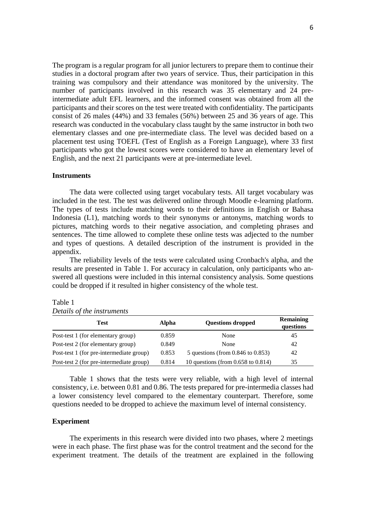The program is a regular program for all junior lecturers to prepare them to continue their studies in a doctoral program after two years of service. Thus, their participation in this training was compulsory and their attendance was monitored by the university. The number of participants involved in this research was 35 elementary and 24 preintermediate adult EFL learners, and the informed consent was obtained from all the participants and their scores on the test were treated with confidentiality. The participants consist of 26 males (44%) and 33 females (56%) between 25 and 36 years of age. This research was conducted in the vocabulary class taught by the same instructor in both two elementary classes and one pre-intermediate class. The level was decided based on a placement test using TOEFL (Test of English as a Foreign Language), where 33 first participants who got the lowest scores were considered to have an elementary level of English, and the next 21 participants were at pre-intermediate level.

#### **Instruments**

The data were collected using target vocabulary tests. All target vocabulary was included in the test. The test was delivered online through Moodle e-learning platform. The types of tests include matching words to their definitions in English or Bahasa Indonesia (L1), matching words to their synonyms or antonyms, matching words to pictures, matching words to their negative association, and completing phrases and sentences. The time allowed to complete these online tests was adjected to the number and types of questions. A detailed description of the instrument is provided in the appendix.

The reliability levels of the tests were calculated using Cronbach's alpha, and the results are presented in Table 1. For accuracy in calculation, only participants who answered all questions were included in this internal consistency analysis. Some questions could be dropped if it resulted in higher consistency of the whole test.

| Test                                     | Alpha | <b>Questions dropped</b>                | <b>Remaining</b><br>questions |
|------------------------------------------|-------|-----------------------------------------|-------------------------------|
| Post-test 1 (for elementary group)       | 0.859 | None                                    | 45                            |
| Post-test 2 (for elementary group)       | 0.849 | None                                    | 42                            |
| Post-test 1 (for pre-intermediate group) | 0.853 | 5 questions (from $0.846$ to $0.853$ )  | 42                            |
| Post-test 2 (for pre-intermediate group) | 0.814 | 10 questions (from $0.658$ to $0.814$ ) | 35                            |

Table 1 *Details of the instruments*

Table 1 shows that the tests were very reliable, with a high level of internal consistency, i.e. between 0.81 and 0.86. The tests prepared for pre-intermedia classes had a lower consistency level compared to the elementary counterpart. Therefore, some questions needed to be dropped to achieve the maximum level of internal consistency.

#### **Experiment**

The experiments in this research were divided into two phases, where 2 meetings were in each phase. The first phase was for the control treatment and the second for the experiment treatment. The details of the treatment are explained in the following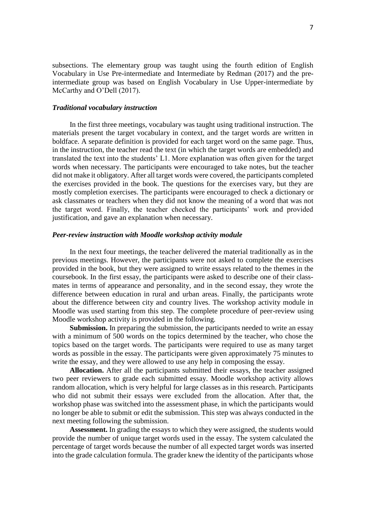subsections. The elementary group was taught using the fourth edition of English Vocabulary in Use Pre-intermediate and Intermediate by Redman (2017) and the preintermediate group was based on English Vocabulary in Use Upper-intermediate by McCarthy and O'Dell (2017).

#### *Traditional vocabulary instruction*

In the first three meetings, vocabulary was taught using traditional instruction. The materials present the target vocabulary in context, and the target words are written in boldface. A separate definition is provided for each target word on the same page. Thus, in the instruction, the teacher read the text (in which the target words are embedded) and translated the text into the students' L1. More explanation was often given for the target words when necessary. The participants were encouraged to take notes, but the teacher did not make it obligatory. After all target words were covered, the participants completed the exercises provided in the book. The questions for the exercises vary, but they are mostly completion exercises. The participants were encouraged to check a dictionary or ask classmates or teachers when they did not know the meaning of a word that was not the target word. Finally, the teacher checked the participants' work and provided justification, and gave an explanation when necessary.

### *Peer-review instruction with Moodle workshop activity module*

In the next four meetings, the teacher delivered the material traditionally as in the previous meetings. However, the participants were not asked to complete the exercises provided in the book, but they were assigned to write essays related to the themes in the coursebook. In the first essay, the participants were asked to describe one of their classmates in terms of appearance and personality, and in the second essay, they wrote the difference between education in rural and urban areas. Finally, the participants wrote about the difference between city and country lives. The workshop activity module in Moodle was used starting from this step. The complete procedure of peer-review using Moodle workshop activity is provided in the following.

**Submission.** In preparing the submission, the participants needed to write an essay with a minimum of 500 words on the topics determined by the teacher, who chose the topics based on the target words. The participants were required to use as many target words as possible in the essay. The participants were given approximately 75 minutes to write the essay, and they were allowed to use any help in composing the essay.

**Allocation.** After all the participants submitted their essays, the teacher assigned two peer reviewers to grade each submitted essay. Moodle workshop activity allows random allocation, which is very helpful for large classes as in this research. Participants who did not submit their essays were excluded from the allocation. After that, the workshop phase was switched into the assessment phase, in which the participants would no longer be able to submit or edit the submission. This step was always conducted in the next meeting following the submission.

**Assessment.** In grading the essays to which they were assigned, the students would provide the number of unique target words used in the essay. The system calculated the percentage of target words because the number of all expected target words was inserted into the grade calculation formula. The grader knew the identity of the participants whose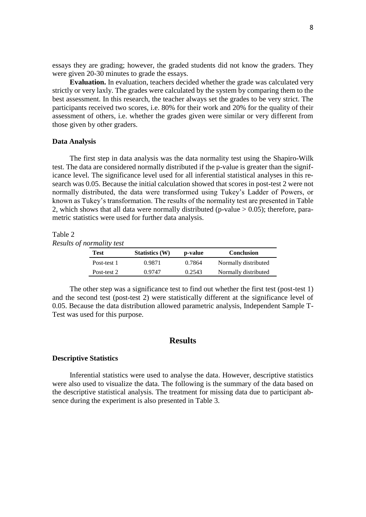essays they are grading; however, the graded students did not know the graders. They were given 20-30 minutes to grade the essays.

**Evaluation.** In evaluation, teachers decided whether the grade was calculated very strictly or very laxly. The grades were calculated by the system by comparing them to the best assessment. In this research, the teacher always set the grades to be very strict. The participants received two scores, i.e. 80% for their work and 20% for the quality of their assessment of others, i.e. whether the grades given were similar or very different from those given by other graders.

### **Data Analysis**

The first step in data analysis was the data normality test using the Shapiro-Wilk test. The data are considered normally distributed if the p-value is greater than the significance level. The significance level used for all inferential statistical analyses in this research was 0.05. Because the initial calculation showed that scores in post-test 2 were not normally distributed, the data were transformed using Tukey's Ladder of Powers, or known as Tukey's transformation. The results of the normality test are presented in Table 2, which shows that all data were normally distributed (p-value  $> 0.05$ ); therefore, parametric statistics were used for further data analysis.

#### Table 2

*Results of normality test*

| Test        | <b>Statistics</b> (W) | p-value | <b>Conclusion</b>    |
|-------------|-----------------------|---------|----------------------|
| Post-test 1 | 0.9871                | 0.7864  | Normally distributed |
| Post-test 2 | 0.9747                | 0.2543  | Normally distributed |

The other step was a significance test to find out whether the first test (post-test 1) and the second test (post-test 2) were statistically different at the significance level of 0.05. Because the data distribution allowed parametric analysis, Independent Sample T-Test was used for this purpose.

### **Results**

#### **Descriptive Statistics**

Inferential statistics were used to analyse the data. However, descriptive statistics were also used to visualize the data. The following is the summary of the data based on the descriptive statistical analysis. The treatment for missing data due to participant absence during the experiment is also presented in Table 3.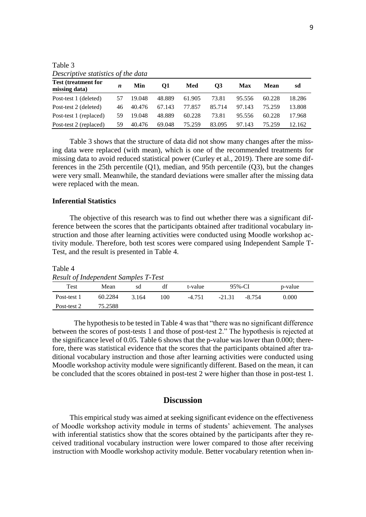| <i>Descriptive statistics of the data</i>   |    |        |        |        |        |        |        |        |
|---------------------------------------------|----|--------|--------|--------|--------|--------|--------|--------|
| <b>Test (treatment for</b><br>missing data) | n  | Min    | 01     | Med    | O3     | Max    | Mean   | sd     |
| Post-test 1 (deleted)                       | 57 | 19.048 | 48.889 | 61.905 | 73.81  | 95.556 | 60.228 | 18.286 |
| Post-test 2 (deleted)                       | 46 | 40.476 | 67.143 | 77.857 | 85.714 | 97.143 | 75 259 | 13.808 |
| Post-test 1 (replaced)                      | 59 | 19.048 | 48.889 | 60.228 | 73.81  | 95.556 | 60.228 | 17.968 |
| Post-test 2 (replaced)                      | 59 | 40.476 | 69.048 | 75.259 | 83.095 | 97.143 | 75.259 | 12.162 |

Table 3 *Descriptive statistics of the data*

Table 3 shows that the structure of data did not show many changes after the missing data were replaced (with mean), which is one of the recommended treatments for missing data to avoid reduced statistical power (Curley et al., 2019). There are some differences in the 25th percentile (Q1), median, and 95th percentile (Q3), but the changes were very small. Meanwhile, the standard deviations were smaller after the missing data were replaced with the mean.

### **Inferential Statistics**

The objective of this research was to find out whether there was a significant difference between the scores that the participants obtained after traditional vocabulary instruction and those after learning activities were conducted using Moodle workshop activity module. Therefore, both test scores were compared using Independent Sample T-Test, and the result is presented in Table 4.

Table 4 *Result of Independent Samples T-Test*

| Result of Halpenacht Bampies 1 Test |         |       |     |          |          |        |         |
|-------------------------------------|---------|-------|-----|----------|----------|--------|---------|
| Test                                | Mean    | sd    | dt  | t-value  | 95%-CI   |        | p-value |
| Post-test 1                         | 60.2284 | 3.164 | 100 | $-4.751$ | $-21.31$ | -8.754 | 0.000   |
| Post-test 2                         | 75.2588 |       |     |          |          |        |         |

The hypothesis to be tested in Table 4 was that "there was no significant difference between the scores of post-tests 1 and those of post-test 2." The hypothesis is rejected at the significance level of 0.05. Table 6 shows that the p-value was lower than 0.000; therefore, there was statistical evidence that the scores that the participants obtained after traditional vocabulary instruction and those after learning activities were conducted using Moodle workshop activity module were significantly different. Based on the mean, it can be concluded that the scores obtained in post-test 2 were higher than those in post-test 1.

### **Discussion**

This empirical study was aimed at seeking significant evidence on the effectiveness of Moodle workshop activity module in terms of students' achievement. The analyses with inferential statistics show that the scores obtained by the participants after they received traditional vocabulary instruction were lower compared to those after receiving instruction with Moodle workshop activity module. Better vocabulary retention when in-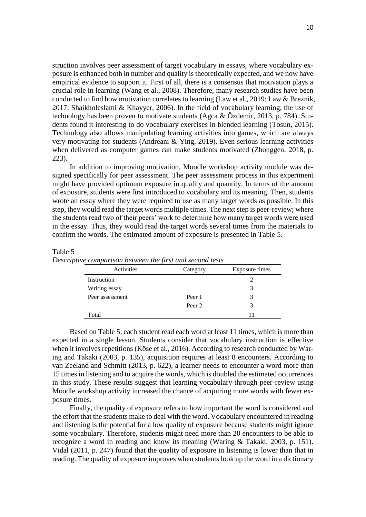struction involves peer assessment of target vocabulary in essays, where vocabulary exposure is enhanced both in number and quality is theoretically expected, and we now have empirical evidence to support it. First of all, there is a consensus that motivation plays a crucial role in learning (Wang et al., 2008). Therefore, many research studies have been conducted to find how motivation correlates to learning (Law et al., 2019; Law & Breznik, 2017; Shaikholeslami & Khayyer, 2006). In the field of vocabulary learning, the use of technology has been proven to motivate students (Agca & Özdemir, 2013, p. 784). Students found it interesting to do vocabulary exercises in blended learning (Tosun, 2015). Technology also allows manipulating learning activities into games, which are always very motivating for students (Andreani & Ying, 2019). Even serious learning activities when delivered as computer games can make students motivated (Zhonggen, 2018, p. 223).

In addition to improving motivation, Moodle workshop activity module was designed specifically for peer assessment. The peer assessment process in this experiment might have provided optimum exposure in quality and quantity. In terms of the amount of exposure, students were first introduced to vocabulary and its meaning. Then, students wrote an essay where they were required to use as many target words as possible. In this step, they would read the target words multiple times. The next step is peer-review; where the students read two of their peers' work to determine how many target words were used in the essay. Thus, they would read the target words several times from the materials to confirm the words. The estimated amount of exposure is presented in Table 5.

#### Table 5

*Descriptive comparison between the first and second tests*

| Activities      | Category | Exposure times |  |  |  |
|-----------------|----------|----------------|--|--|--|
| Instruction     |          |                |  |  |  |
| Writing essay   |          | 3              |  |  |  |
| Peer assessment | Peer 1   | 3              |  |  |  |
|                 | Peer 2   | 3              |  |  |  |
| Total           |          |                |  |  |  |

Based on Table 5, each student read each word at least 11 times, which is more than expected in a single lesson. Students consider that vocabulary instruction is effective when it involves repetitions (Köse et al., 2016). According to research conducted by Waring and Takaki (2003, p. 135), acquisition requires at least 8 encounters. According to van Zeeland and Schmitt (2013, p. 622), a learner needs to encounter a word more than 15 times in listening and to acquire the words, which is doubled the estimated occurrences in this study. These results suggest that learning vocabulary through peer-review using Moodle workshop activity increased the chance of acquiring more words with fewer exposure times.

Finally, the quality of exposure refers to how important the word is considered and the effort that the students make to deal with the word. Vocabulary encountered in reading and listening is the potential for a low quality of exposure because students might ignore some vocabulary. Therefore, students might need more than 20 encounters to be able to recognize a word in reading and know its meaning (Waring & Takaki, 2003, p. 151). Vidal (2011, p. 247) found that the quality of exposure in listening is lower than that in reading. The quality of exposure improves when students look up the word in a dictionary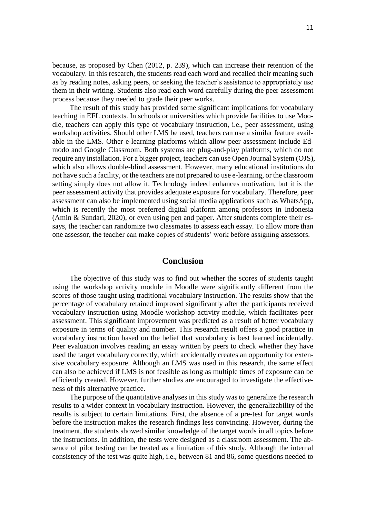because, as proposed by Chen (2012, p. 239), which can increase their retention of the vocabulary. In this research, the students read each word and recalled their meaning such as by reading notes, asking peers, or seeking the teacher's assistance to appropriately use them in their writing. Students also read each word carefully during the peer assessment process because they needed to grade their peer works.

The result of this study has provided some significant implications for vocabulary teaching in EFL contexts. In schools or universities which provide facilities to use Moodle, teachers can apply this type of vocabulary instruction, i.e., peer assessment, using workshop activities. Should other LMS be used, teachers can use a similar feature available in the LMS. Other e-learning platforms which allow peer assessment include Edmodo and Google Classroom. Both systems are plug-and-play platforms, which do not require any installation. For a bigger project, teachers can use Open Journal System (OJS), which also allows double-blind assessment. However, many educational institutions do not have such a facility, or the teachers are not prepared to use e-learning, or the classroom setting simply does not allow it. Technology indeed enhances motivation, but it is the peer assessment activity that provides adequate exposure for vocabulary. Therefore, peer assessment can also be implemented using social media applications such as WhatsApp, which is recently the most preferred digital platform among professors in Indonesia (Amin & Sundari, 2020), or even using pen and paper. After students complete their essays, the teacher can randomize two classmates to assess each essay. To allow more than one assessor, the teacher can make copies of students' work before assigning assessors.

## **Conclusion**

The objective of this study was to find out whether the scores of students taught using the workshop activity module in Moodle were significantly different from the scores of those taught using traditional vocabulary instruction. The results show that the percentage of vocabulary retained improved significantly after the participants received vocabulary instruction using Moodle workshop activity module, which facilitates peer assessment. This significant improvement was predicted as a result of better vocabulary exposure in terms of quality and number. This research result offers a good practice in vocabulary instruction based on the belief that vocabulary is best learned incidentally. Peer evaluation involves reading an essay written by peers to check whether they have used the target vocabulary correctly, which accidentally creates an opportunity for extensive vocabulary exposure. Although an LMS was used in this research, the same effect can also be achieved if LMS is not feasible as long as multiple times of exposure can be efficiently created. However, further studies are encouraged to investigate the effectiveness of this alternative practice.

The purpose of the quantitative analyses in this study was to generalize the research results to a wider context in vocabulary instruction. However, the generalizability of the results is subject to certain limitations. First, the absence of a pre-test for target words before the instruction makes the research findings less convincing. However, during the treatment, the students showed similar knowledge of the target words in all topics before the instructions. In addition, the tests were designed as a classroom assessment. The absence of pilot testing can be treated as a limitation of this study. Although the internal consistency of the test was quite high, i.e., between 81 and 86, some questions needed to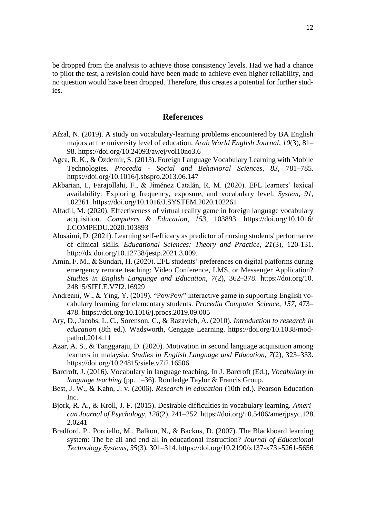be dropped from the analysis to achieve those consistency levels. Had we had a chance to pilot the test, a revision could have been made to achieve even higher reliability, and no question would have been dropped. Therefore, this creates a potential for further studies.

### **References**

- Afzal, N. (2019). A study on vocabulary-learning problems encountered by BA English majors at the university level of education. *Arab World English Journal*, *10*(3), 81– 98. https://doi.org/10.24093/awej/vol10no3.6
- Agca, R. K., & Özdemir, S. (2013). Foreign Language Vocabulary Learning with Mobile Technologies. *Procedia - Social and Behavioral Sciences*, *83*, 781–785. https://doi.org/10.1016/j.sbspro.2013.06.147
- Akbarian, I., Farajollahi, F., & Jiménez Catalán, R. M. (2020). EFL learners' lexical availability: Exploring frequency, exposure, and vocabulary level. *System*, *91*, 102261. https://doi.org/10.1016/J.SYSTEM.2020.102261
- Alfadil, M. (2020). Effectiveness of virtual reality game in foreign language vocabulary acquisition. *Computers & Education*, *153*, 103893. https://doi.org/10.1016/ J.COMPEDU.2020.103893
- Alosaimi, D. (2021). Learning self-efficacy as predictor of nursing students' performance of clinical skills. *Educational Sciences: Theory and Practice, 21*(3), 120-131. [http://dx.doi.org/10.12738/jestp.2021.3.009.](http://dx.doi.org/10.12738/jestp.2021.3.009)
- Amin, F. M., & Sundari, H. (2020). EFL students' preferences on digital platforms during emergency remote teaching: Video Conference, LMS, or Messenger Application? *Studies in English Language and Education*, *7*(2), 362–378. https://doi.org/10. 24815/SIELE.V7I2.16929
- Andreani, W., & Ying, Y. (2019). "PowPow" interactive game in supporting English vocabulary learning for elementary students. *Procedia Computer Science*, *157*, 473– 478. https://doi.org/10.1016/j.procs.2019.09.005
- Ary, D., Jacobs, L. C., Sorenson, C., & Razavieh, A. (2010). *Introduction to research in education* (8th ed.). Wadsworth, Cengage Learning. https://doi.org/10.1038/modpathol.2014.11
- Azar, A. S., & Tanggaraju, D. (2020). Motivation in second language acquisition among learners in malaysia. *Studies in English Language and Education*, *7*(2), 323–333. https://doi.org/10.24815/siele.v7i2.16506
- Barcroft, J. (2016). Vocabulary in language teaching. In J. Barcroft (Ed.), *Vocabulary in language teaching* (pp. 1–36). Routledge Taylor & Francis Group.
- Best, J. W., & Kahn, J. v. (2006). *Research in education* (10th ed.). Pearson Education Inc.
- Bjork, R. A., & Kroll, J. F. (2015). Desirable difficulties in vocabulary learning. *American Journal of Psychology*, *128*(2), 241–252. https://doi.org/10.5406/amerjpsyc.128. 2.0241
- Bradford, P., Porciello, M., Balkon, N., & Backus, D. (2007). The Blackboard learning system: The be all and end all in educational instruction? *Journal of Educational Technology Systems*, *35*(3), 301–314. https://doi.org/10.2190/x137-x73l-5261-5656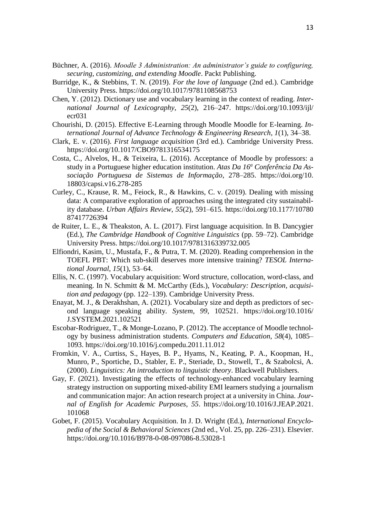- Büchner, A. (2016). *Moodle 3 Administration: An administrator's guide to configuring, securing, customizing, and extending Moodle*. Packt Publishing.
- Burridge, K., & Stebbins, T. N. (2019). *For the love of language* (2nd ed.). Cambridge University Press. https://doi.org/10.1017/9781108568753
- Chen, Y. (2012). Dictionary use and vocabulary learning in the context of reading. *International Journal of Lexicography*, *25*(2), 216–247. https://doi.org/10.1093/ijl/ ecr031
- Chourishi, D. (2015). Effective E-Learning through Moodle Moodle for E-learning. *International Journal of Advance Technology & Engineering Research*, *1*(1), 34–38.
- Clark, E. v. (2016). *First language acquisition* (3rd ed.). Cambridge University Press. https://doi.org/10.1017/CBO9781316534175
- Costa, C., Alvelos, H., & Teixeira, L. (2016). Acceptance of Moodle by professors: a study in a Portuguese higher education institution. *Atas Da 16<sup>a</sup> Conferência Da Associação Portuguesa de Sistemas de Informação*, 278–285. https://doi.org/10. 18803/capsi.v16.278-285
- Curley, C., Krause, R. M., Feiock, R., & Hawkins, C. v. (2019). Dealing with missing data: A comparative exploration of approaches using the integrated city sustainability database. *Urban Affairs Review*, *55*(2), 591–615. https://doi.org/10.1177/10780 87417726394
- de Ruiter, L. E., & Theakston, A. L. (2017). First language acquisition. In B. Dancygier (Ed.), *The Cambridge Handbook of Cognitive Linguistics* (pp. 59–72). Cambridge University Press. https://doi.org/10.1017/9781316339732.005
- Elfiondri, Kasim, U., Mustafa, F., & Putra, T. M. (2020). Reading comprehension in the TOEFL PBT: Which sub-skill deserves more intensive training? *TESOL International Journal*, *15*(1), 53–64.
- Ellis, N. C. (1997). Vocabulary acquisition: Word structure, collocation, word-class, and meaning. In N. Schmitt & M. McCarthy (Eds.), *Vocabulary: Description, acquisition and pedagogy* (pp. 122–139). Cambridge University Press.
- Enayat, M. J., & Derakhshan, A. (2021). Vocabulary size and depth as predictors of second language speaking ability. *System*, *99*, 102521. https://doi.org/10.1016/ J.SYSTEM.2021.102521
- Escobar-Rodriguez, T., & Monge-Lozano, P. (2012). The acceptance of Moodle technology by business administration students. *Computers and Education*, *58*(4), 1085– 1093. https://doi.org/10.1016/j.compedu.2011.11.012
- Fromkin, V. A., Curtiss, S., Hayes, B. P., Hyams, N., Keating, P. A., Koopman, H., Munro, P., Sportiche, D., Stabler, E. P., Steriade, D., Stowell, T., & Szabolcsi, A. (2000). *Linguistics: An introduction to linguistic theory*. Blackwell Publishers.
- Gay, F. (2021). Investigating the effects of technology-enhanced vocabulary learning strategy instruction on supporting mixed-ability EMI learners studying a journalism and communication major: An action research project at a university in China. *Journal of English for Academic Purposes*, *55*. https://doi.org/10.1016/J.JEAP.2021. 101068
- Gobet, F. (2015). Vocabulary Acquisition. In J. D. Wright (Ed.), *International Encyclopedia of the Social & Behavioral Sciences* (2nd ed., Vol. 25, pp. 226–231). Elsevier. https://doi.org/10.1016/B978-0-08-097086-8.53028-1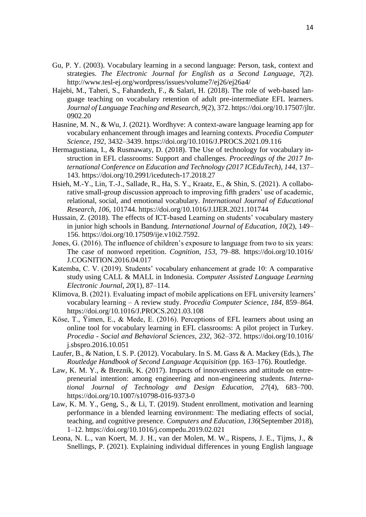- Gu, P. Y. (2003). Vocabulary learning in a second language: Person, task, context and strategies. *The Electronic Journal for English as a Second Language*, *7*(2). http://www.tesl-ej.org/wordpress/issues/volume7/ej26/ej26a4/
- Hajebi, M., Taheri, S., Fahandezh, F., & Salari, H. (2018). The role of web-based language teaching on vocabulary retention of adult pre-intermediate EFL learners. *Journal of Language Teaching and Research*, *9*(2), 372. https://doi.org/10.17507/jltr. 0902.20
- Hasnine, M. N., & Wu, J. (2021). Wordhyve: A context-aware language learning app for vocabulary enhancement through images and learning contexts. *Procedia Computer Science*, *192*, 3432–3439. https://doi.org/10.1016/J.PROCS.2021.09.116
- Hermagustiana, I., & Rusmawaty, D. (2018). The Use of technology for vocabulary instruction in EFL classrooms: Support and challenges. *Proceedings of the 2017 International Conference on Education and Technology (2017 ICEduTech)*, *144*, 137– 143. https://doi.org/10.2991/icedutech-17.2018.27
- Hsieh, M.-Y., Lin, T.-J., Sallade, R., Ha, S. Y., Kraatz, E., & Shin, S. (2021). A collaborative small-group discussion approach to improving fifth graders' use of academic, relational, social, and emotional vocabulary. *International Journal of Educational Research*, *106*, 101744. https://doi.org/10.1016/J.IJER.2021.101744
- Hussain, Z. (2018). The effects of ICT-based Learning on students' vocabulary mastery in junior high schools in Bandung. *International Journal of Education*, *10*(2), 149– 156. https://doi.org/10.17509/ije.v10i2.7592.
- Jones, G. (2016). The influence of children's exposure to language from two to six years: The case of nonword repetition. *Cognition*, *153*, 79–88. https://doi.org/10.1016/ J.COGNITION.2016.04.017
- Katemba, C. V. (2019). Students' vocabulary enhancement at grade 10: A comparative study using CALL & MALL in Indonesia. *Computer Assisted Language Learning Electronic Journal*, *20*(1), 87–114.
- Klimova, B. (2021). Evaluating impact of mobile applications on EFL university learners' vocabulary learning – A review study. *Procedia Computer Science*, *184*, 859–864. https://doi.org/10.1016/J.PROCS.2021.03.108
- Köse, T., Ÿimen, E., & Mede, E. (2016). Perceptions of EFL learners about using an online tool for vocabulary learning in EFL classrooms: A pilot project in Turkey. *Procedia - Social and Behavioral Sciences*, *232*, 362–372. https://doi.org/10.1016/ j.sbspro.2016.10.051
- Laufer, B., & Nation, I. S. P. (2012). Vocabulary. In S. M. Gass & A. Mackey (Eds.), *The Routledge Handbook of Second Language Acquisition* (pp. 163–176). Routledge.
- Law, K. M. Y., & Breznik, K. (2017). Impacts of innovativeness and attitude on entrepreneurial intention: among engineering and non-engineering students. *International Journal of Technology and Design Education*, *27*(4), 683–700. https://doi.org/10.1007/s10798-016-9373-0
- Law, K. M. Y., Geng, S., & Li, T. (2019). Student enrollment, motivation and learning performance in a blended learning environment: The mediating effects of social, teaching, and cognitive presence. *Computers and Education*, *136*(September 2018), 1–12. https://doi.org/10.1016/j.compedu.2019.02.021
- Leona, N. L., van Koert, M. J. H., van der Molen, M. W., Rispens, J. E., Tijms, J., & Snellings, P. (2021). Explaining individual differences in young English language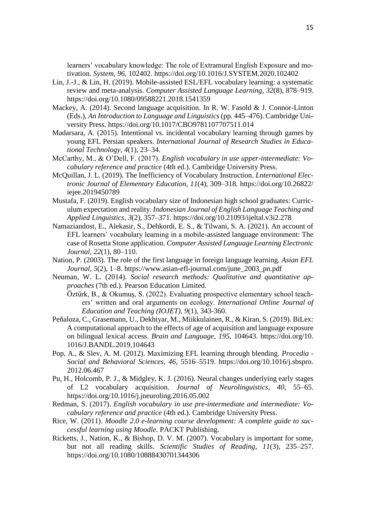learners' vocabulary knowledge: The role of Extramural English Exposure and motivation. *System*, *96*, 102402. https://doi.org/10.1016/J.SYSTEM.2020.102402

- Lin, J.-J., & Lin, H. (2019). Mobile-assisted ESL/EFL vocabulary learning: a systematic review and meta-analysis. *Computer Assisted Language Learning*, *32*(8), 878–919. https://doi.org/10.1080/09588221.2018.1541359
- Mackey, A. (2014). Second language acquisition. In R. W. Fasold & J. Connor-Linton (Eds.), *An Introduction to Language and Linguistics* (pp. 445–476). Cambridge University Press. https://doi.org/10.1017/CBO9781107707511.014
- Madarsara, A. (2015). Intentional vs. incidental vocabulary learning through games by young EFL Persian speakers. *International Journal of Research Studies in Educational Technology*, *4*(1), 23–34.
- McCarthy, M., & O'Dell, F. (2017). *English vocabulary in use upper-intermediate: Vocabulary reference and practice* (4th ed.). Cambridge University Press.
- McQuillan, J. L. (2019). The Inefficiency of Vocabulary Instruction. *Lnternational Electronic Journal of Elementary Education*, *11*(4), 309–318. https://doi.org/10.26822/ iejee.2019450789
- Mustafa, F. (2019). English vocabulary size of Indonesian high school graduates: Curriculum expectation and reality. *Indonesian Journal of English Language Teaching and Applied Linguistics*, *3*(2), 357–371. https://doi.org/10.21093/ijeltal.v3i2.278
- Namaziandost, E., Alekasir, S., Dehkordi, E. S., & Tilwani, S. A. (2021). An account of EFL learners' vocabulary learning in a mobile-assisted language environment: The case of Rosetta Stone application. *Computer Assisted Language Learning Electronic Journal*, *22*(1), 80–110.
- Nation, P. (2003). The role of the first language in foreign language learning. *Asian EFL Journal*, *5*(2), 1–8. https://www.asian-efl-journal.com/june\_2003\_pn.pdf
- Neuman, W. L. (2014). *Social research methods: Qualitative and quantitative approaches* (7th ed.). Pearson Education Limited.
	- Öztürk, B., & Okumuş, S. (2022). Evaluating prospective elementary school teachers' written and oral arguments on ecology. *International Online Journal of Education and Teaching (IOJET), 9*(1), 343-360.
- Peñaloza, C., Grasemann, U., Dekhtyar, M., Miikkulainen, R., & Kiran, S. (2019). BiLex: A computational approach to the effects of age of acquisition and language exposure on bilingual lexical access. *Brain and Language*, *195*, 104643. https://doi.org/10. 1016/J.BANDL.2019.104643
- Pop, A., & Slev, A. M. (2012). Maximizing EFL learning through blending. *Procedia - Social and Behavioral Sciences*, *46*, 5516–5519. https://doi.org/10.1016/j.sbspro. 2012.06.467
- Pu, H., Holcomb, P. J., & Midgley, K. J. (2016). Neural changes underlying early stages of L2 vocabulary acquisition. *Journal of Neurolinguistics*, *40*, 55–65. https://doi.org/10.1016/j.jneuroling.2016.05.002
- Redman, S. (2017). *English vocabulary in use pre-intermediate and intermediate: Vocabulary reference and practice* (4th ed.). Cambridge University Press.
- Rice, W. (2011). *Moodle 2.0 e-learning course development: A complete guide to successful learning using Moodle*. PACKT Publishing.
- Ricketts, J., Nation, K., & Bishop, D. V. M. (2007). Vocabulary is important for some, but not all reading skills. *Scientific Studies of Reading*, *11*(3), 235–257. https://doi.org/10.1080/10888430701344306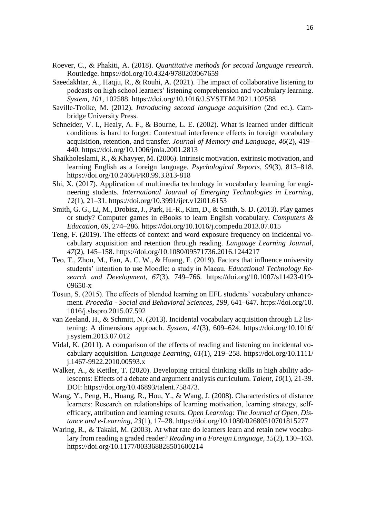- Roever, C., & Phakiti, A. (2018). *Quantitative methods for second language research*. Routledge. https://doi.org/10.4324/9780203067659
- Saeedakhtar, A., Haqju, R., & Rouhi, A. (2021). The impact of collaborative listening to podcasts on high school learners' listening comprehension and vocabulary learning. *System*, *101*, 102588. https://doi.org/10.1016/J.SYSTEM.2021.102588
- Saville-Troike, M. (2012). *Introducing second language acquisition* (2nd ed.). Cambridge University Press.
- Schneider, V. I., Healy, A. F., & Bourne, L. E. (2002). What is learned under difficult conditions is hard to forget: Contextual interference effects in foreign vocabulary acquisition, retention, and transfer. *Journal of Memory and Language*, *46*(2), 419– 440. https://doi.org/10.1006/jmla.2001.2813
- Shaikholeslami, R., & Khayyer, M. (2006). Intrinsic motivation, extrinsic motivation, and learning English as a foreign language. *Psychological Reports*, *99*(3), 813–818. https://doi.org/10.2466/PR0.99.3.813-818
- Shi, X. (2017). Application of multimedia technology in vocabulary learning for engineering students. *International Journal of Emerging Technologies in Learning*, *12*(1), 21–31. https://doi.org/10.3991/ijet.v12i01.6153
- Smith, G. G., Li, M., Drobisz, J., Park, H.-R., Kim, D., & Smith, S. D. (2013). Play games or study? Computer games in eBooks to learn English vocabulary. *Computers & Education*, *69*, 274–286. https://doi.org/10.1016/j.compedu.2013.07.015
- Teng, F. (2019). The effects of context and word exposure frequency on incidental vocabulary acquisition and retention through reading. *Language Learning Journal*, *47*(2), 145–158. https://doi.org/10.1080/09571736.2016.1244217
- Teo, T., Zhou, M., Fan, A. C. W., & Huang, F. (2019). Factors that influence university students' intention to use Moodle: a study in Macau. *Educational Technology Research and Development*, *67*(3), 749–766. https://doi.org/10.1007/s11423-019- 09650-x
- Tosun, S. (2015). The effects of blended learning on EFL students' vocabulary enhancement. *Procedia - Social and Behavioral Sciences*, *199*, 641–647. https://doi.org/10. 1016/j.sbspro.2015.07.592
- van Zeeland, H., & Schmitt, N. (2013). Incidental vocabulary acquisition through L2 listening: A dimensions approach. *System*, *41*(3), 609–624. https://doi.org/10.1016/ j.system.2013.07.012
- Vidal, K. (2011). A comparison of the effects of reading and listening on incidental vocabulary acquisition. *Language Learning*, *61*(1), 219–258. https://doi.org/10.1111/ j.1467-9922.2010.00593.x
- Walker, A., & Kettler, T. (2020). Developing critical thinking skills in high ability adolescents: Effects of a debate and argument analysis curriculum. *Talent, 10*(1), 21-39. DOI: [https://doi.org/10.46893/talent.758473.](https://doi.org/10.46893/talent.758473)
- Wang, Y., Peng, H., Huang, R., Hou, Y., & Wang, J. (2008). Characteristics of distance learners: Research on relationships of learning motivation, learning strategy, selfefficacy, attribution and learning results. *Open Learning: The Journal of Open, Distance and e-Learning*, *23*(1), 17–28.<https://doi.org/10.1080/02680510701815277>
- Waring, R., & Takaki, M. (2003). At what rate do learners learn and retain new vocabulary from reading a graded reader? *Reading in a Foreign Language*, *15*(2), 130–163. <https://doi.org/10.1177/003368828501600214>